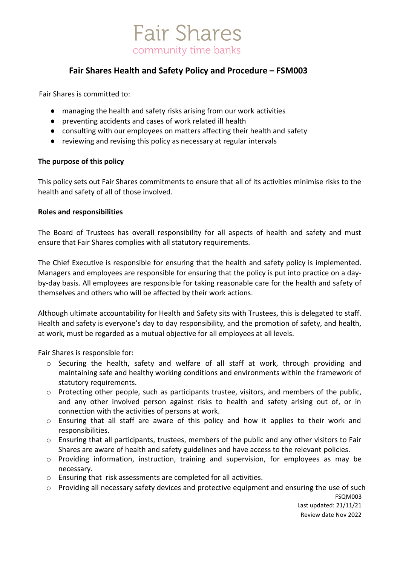

# **Fair Shares Health and Safety Policy and Procedure – FSM003**

Fair Shares is committed to:

- managing the health and safety risks arising from our work activities
- preventing accidents and cases of work related ill health
- consulting with our employees on matters affecting their health and safety
- reviewing and revising this policy as necessary at regular intervals

#### **The purpose of this policy**

This policy sets out Fair Shares commitments to ensure that all of its activities minimise risks to the health and safety of all of those involved.

#### **Roles and responsibilities**

The Board of Trustees has overall responsibility for all aspects of health and safety and must ensure that Fair Shares complies with all statutory requirements.

The Chief Executive is responsible for ensuring that the health and safety policy is implemented. Managers and employees are responsible for ensuring that the policy is put into practice on a dayby-day basis. All employees are responsible for taking reasonable care for the health and safety of themselves and others who will be affected by their work actions.

Although ultimate accountability for Health and Safety sits with Trustees, this is delegated to staff. Health and safety is everyone's day to day responsibility, and the promotion of safety, and health, at work, must be regarded as a mutual objective for all employees at all levels.

Fair Shares is responsible for:

- $\circ$  Securing the health, safety and welfare of all staff at work, through providing and maintaining safe and healthy working conditions and environments within the framework of statutory requirements.
- o Protecting other people, such as participants trustee, visitors, and members of the public, and any other involved person against risks to health and safety arising out of, or in connection with the activities of persons at work.
- o Ensuring that all staff are aware of this policy and how it applies to their work and responsibilities.
- $\circ$  Ensuring that all participants, trustees, members of the public and any other visitors to Fair Shares are aware of health and safety guidelines and have access to the relevant policies.
- o Providing information, instruction, training and supervision, for employees as may be necessary.
- o Ensuring that risk assessments are completed for all activities.
- $\circ$  Providing all necessary safety devices and protective equipment and ensuring the use of such

FSQM003 Last updated: 21/11/21 Review date Nov 2022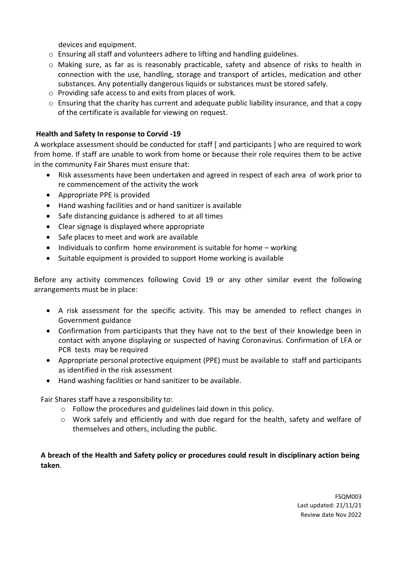devices and equipment.

- o Ensuring all staff and volunteers adhere to lifting and handling guidelines.
- o Making sure, as far as is reasonably practicable, safety and absence of risks to health in connection with the use, handling, storage and transport of articles, medication and other substances. Any potentially dangerous liquids or substances must be stored safely.
- o Providing safe access to and exits from places of work.
- $\circ$  Ensuring that the charity has current and adequate public liability insurance, and that a copy of the certificate is available for viewing on request.

## **Health and Safety In response to Corvid -19**

A workplace assessment should be conducted for staff [ and participants ] who are required to work from home. If staff are unable to work from home or because their role requires them to be active in the community Fair Shares must ensure that:

- Risk assessments have been undertaken and agreed in respect of each area of work prior to re commencement of the activity the work
- Appropriate PPE is provided
- Hand washing facilities and or hand sanitizer is available
- Safe distancing guidance is adhered to at all times
- Clear signage is displayed where appropriate
- Safe places to meet and work are available
- Individuals to confirm home environment is suitable for home working
- Suitable equipment is provided to support Home working is available

Before any activity commences following Covid 19 or any other similar event the following arrangements must be in place:

- A risk assessment for the specific activity. This may be amended to reflect changes in Government guidance
- Confirmation from participants that they have not to the best of their knowledge been in contact with anyone displaying or suspected of having Coronavirus. Confirmation of LFA or PCR tests may be required
- Appropriate personal protective equipment (PPE) must be available to staff and participants as identified in the risk assessment
- Hand washing facilities or hand sanitizer to be available.

Fair Shares staff have a responsibility to:

- o Follow the procedures and guidelines laid down in this policy.
- $\circ$  Work safely and efficiently and with due regard for the health, safety and welfare of themselves and others, including the public.

**A breach of the Health and Safety policy or procedures could result in disciplinary action being taken**.

> FSQM003 Last updated: 21/11/21 Review date Nov 2022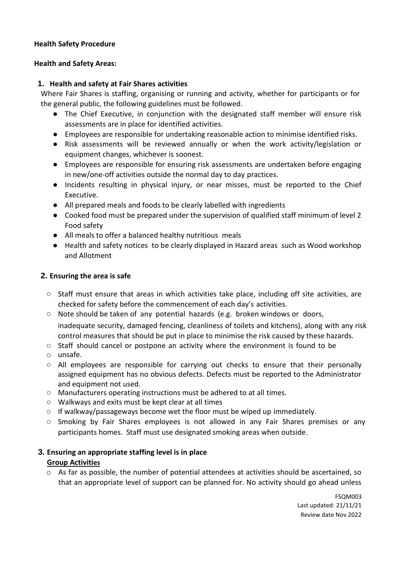## **Health Safety Procedure**

## **Health and Safety Areas:**

## **1. Health and safety at Fair Shares activities**

Where Fair Shares is staffing, organising or running and activity, whether for participants or for the general public, the following guidelines must be followed.

- The Chief Executive, in conjunction with the designated staff member will ensure risk assessments are in place for identified activities.
- Employees are responsible for undertaking reasonable action to minimise identified risks.
- Risk assessments will be reviewed annually or when the work activity/legislation or equipment changes, whichever is soonest.
- Employees are responsible for ensuring risk assessments are undertaken before engaging in new/one-off activities outside the normal day to day practices.
- Incidents resulting in physical injury, or near misses, must be reported to the Chief Executive.
- All prepared meals and foods to be clearly labelled with ingredients
- Cooked food must be prepared under the supervision of qualified staff minimum of level 2 Food safety
- All meals to offer a balanced healthy nutritious meals
- Health and safety notices to be clearly displayed in Hazard areas such as Wood workshop and Allotment

## **2. Ensuring the area is safe**

- Staff must ensure that areas in which activities take place, including off site activities, are checked for safety before the commencement of each day's activities.
- Note should be taken of any potential hazards (e.g. broken windows or doors, inadequate security, damaged fencing, cleanliness of toilets and kitchens), along with any risk control measures that should be put in place to minimise the risk caused by these hazards.
- Staff should cancel or postpone an activity where the environment is found to be
- o unsafe.
- All employees are responsible for carrying out checks to ensure that their personally assigned equipment has no obvious defects. Defects must be reported to the Administrator and equipment not used.
- Manufacturers operating instructions must be adhered to at all times.
- Walkways and exits must be kept clear at all times
- $\circ$  If walkway/passageways become wet the floor must be wiped up immediately.
- Smoking by Fair Shares employees is not allowed in any Fair Shares premises or any participants homes. Staff must use designated smoking areas when outside.

# **3. Ensuring an appropriate staffing level is in place Group Activities**

 $\circ$  As far as possible, the number of potential attendees at activities should be ascertained, so that an appropriate level of support can be planned for. No activity should go ahead unless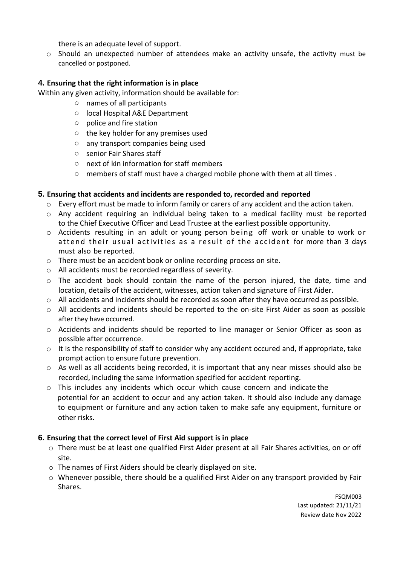there is an adequate level of support.

 $\circ$  Should an unexpected number of attendees make an activity unsafe, the activity must be cancelled or postponed.

## **4. Ensuring that the right information is in place**

Within any given activity, information should be available for:

- names of all participants
- local Hospital A&E Department
- police and fire station
- the key holder for any premises used
- any transport companies being used
- senior Fair Shares staff
- next of kin information for staff members
- $\circ$  members of staff must have a charged mobile phone with them at all times.

## **5. Ensuring that accidents and incidents are responded to, recorded and reported**

- o Every effort must be made to inform family or carers of any accident and the action taken.
- $\circ$  Any accident requiring an individual being taken to a medical facility must be reported to the Chief Executive Officer and Lead Trustee at the earliest possible opportunity.
- $\circ$  Accidents resulting in an adult or young person being off work or unable to work or attend their usual activities as a result of the accident for more than 3 days must also be reported.
- o There must be an accident book or online recording process on site.
- o All accidents must be recorded regardless of severity.
- $\circ$  The accident book should contain the name of the person injured, the date, time and location, details of the accident, witnesses, action taken and signature of First Aider.
- $\circ$  All accidents and incidents should be recorded as soon after they have occurred as possible.
- $\circ$  All accidents and incidents should be reported to the on-site First Aider as soon as possible after they have occurred.
- o Accidents and incidents should be reported to line manager or Senior Officer as soon as possible after occurrence.
- $\circ$  It is the responsibility of staff to consider why any accident occured and, if appropriate, take prompt action to ensure future prevention.
- o As well as all accidents being recorded, it is important that any near misses should also be recorded, including the same information specified for accident reporting.
- $\circ$  This includes any incidents which occur which cause concern and indicate the potential for an accident to occur and any action taken. It should also include any damage to equipment or furniture and any action taken to make safe any equipment, furniture or other risks.

## **6. Ensuring that the correct level of First Aid support is in place**

- o There must be at least one qualified First Aider present at all Fair Shares activities, on or off site.
- o The names of First Aiders should be clearly displayed on site.
- o Whenever possible, there should be a qualified First Aider on any transport provided by Fair Shares.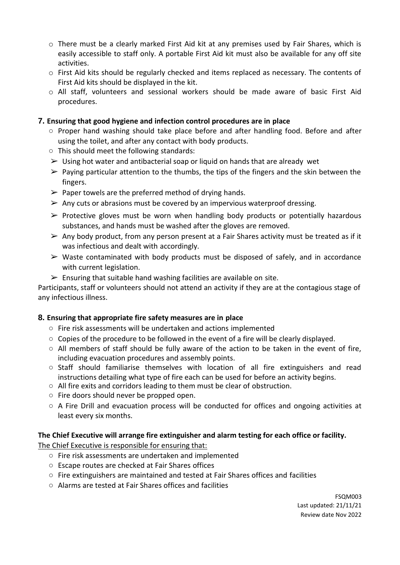- o There must be a clearly marked First Aid kit at any premises used by Fair Shares, which is easily accessible to staff only. A portable First Aid kit must also be available for any off site activities.
- $\circ$  First Aid kits should be regularly checked and items replaced as necessary. The contents of First Aid kits should be displayed in the kit.
- o All staff, volunteers and sessional workers should be made aware of basic First Aid procedures.

# **7. Ensuring that good hygiene and infection control procedures are in place**

- Proper hand washing should take place before and after handling food. Before and after using the toilet, and after any contact with body products.
- This should meet the following standards:
- $\triangleright$  Using hot water and antibacterial soap or liquid on hands that are already wet
- $\triangleright$  Paying particular attention to the thumbs, the tips of the fingers and the skin between the fingers.
- $\triangleright$  Paper towels are the preferred method of drying hands.
- $\triangleright$  Any cuts or abrasions must be covered by an impervious waterproof dressing.
- $\triangleright$  Protective gloves must be worn when handling body products or potentially hazardous substances, and hands must be washed after the gloves are removed.
- $\triangleright$  Any body product, from any person present at a Fair Shares activity must be treated as if it was infectious and dealt with accordingly.
- $\triangleright$  Waste contaminated with body products must be disposed of safely, and in accordance with current legislation.
- $\triangleright$  Ensuring that suitable hand washing facilities are available on site.

Participants, staff or volunteers should not attend an activity if they are at the contagious stage of any infectious illness.

# **8. Ensuring that appropriate fire safety measures are in place**

- Fire risk assessments will be undertaken and actions implemented
- $\circ$  Copies of the procedure to be followed in the event of a fire will be clearly displayed.
- $\circ$  All members of staff should be fully aware of the action to be taken in the event of fire, including evacuation procedures and assembly points.
- Staff should familiarise themselves with location of all fire extinguishers and read instructions detailing what type of fire each can be used for before an activity begins.
- All fire exits and corridors leading to them must be clear of obstruction.
- Fire doors should never be propped open.
- $\circ$  A Fire Drill and evacuation process will be conducted for offices and ongoing activities at least every six months.

# **The Chief Executive will arrange fire extinguisher and alarm testing for each office or facility.**

The Chief Executive is responsible for ensuring that:

- Fire risk assessments are undertaken and implemented
- Escape routes are checked at Fair Shares offices
- Fire extinguishers are maintained and tested at Fair Shares offices and facilities
- Alarms are tested at Fair Shares offices and facilities

FSQM003 Last updated: 21/11/21 Review date Nov 2022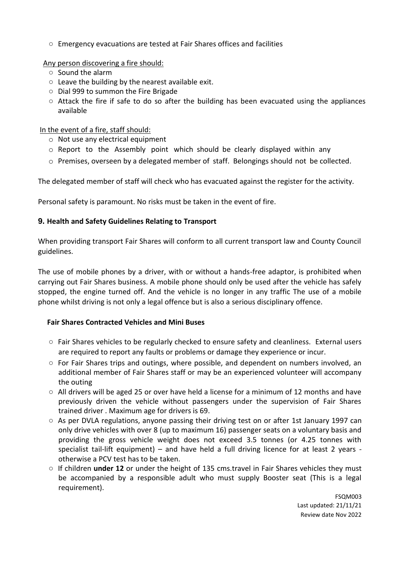○ Emergency evacuations are tested at Fair Shares offices and facilities

Any person discovering a fire should:

- Sound the alarm
- Leave the building by the nearest available exit.
- Dial 999 to summon the Fire Brigade
- $\circ$  Attack the fire if safe to do so after the building has been evacuated using the appliances available

#### In the event of a fire, staff should:

- o Not use any electrical equipment
- o Report to the Assembly point which should be clearly displayed within any
- $\circ$  Premises, overseen by a delegated member of staff. Belongings should not be collected.

The delegated member of staff will check who has evacuated against the register for the activity.

Personal safety is paramount. No risks must be taken in the event of fire.

## **9. Health and Safety Guidelines Relating to Transport**

When providing transport Fair Shares will conform to all current transport law and County Council guidelines.

The use of mobile phones by a driver, with or without a hands-free adaptor, is prohibited when carrying out Fair Shares business. A mobile phone should only be used after the vehicle has safely stopped, the engine turned off. And the vehicle is no longer in any traffic The use of a mobile phone whilst driving is not only a legal offence but is also a serious disciplinary offence.

#### **Fair Shares Contracted Vehicles and Mini Buses**

- $\circ$  Fair Shares vehicles to be regularly checked to ensure safety and cleanliness. External users are required to report any faults or problems or damage they experience or incur.
- $\circ$  For Fair Shares trips and outings, where possible, and dependent on numbers involved, an additional member of Fair Shares staff or may be an experienced volunteer will accompany the outing
- $\circ$  All drivers will be aged 25 or over have held a license for a minimum of 12 months and have previously driven the vehicle without passengers under the supervision of Fair Shares trained driver . Maximum age for drivers is 69.
- As per DVLA regulations, anyone passing their driving test on or after 1st January 1997 can only drive vehicles with over 8 (up to maximum 16) passenger seats on a voluntary basis and providing the gross vehicle weight does not exceed 3.5 tonnes (or 4.25 tonnes with specialist tail-lift equipment) – and have held a full driving licence for at least 2 years otherwise a PCV test has to be taken.
- If children **under 12** or under the height of 135 cms.travel in Fair Shares vehicles they must be accompanied by a responsible adult who must supply Booster seat (This is a legal requirement).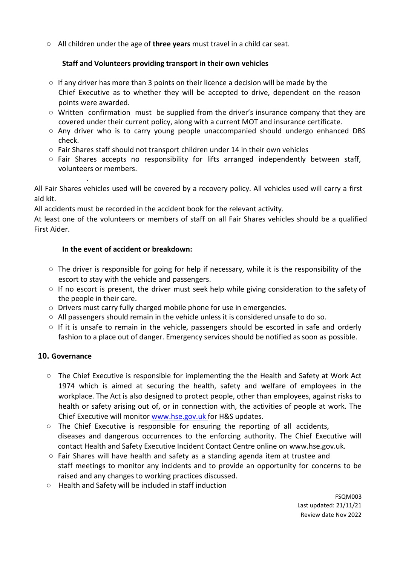○ All children under the age of **three years** must travel in a child car seat.

# **Staff and Volunteers providing transport in their own vehicles**

- $\circ$  If any driver has more than 3 points on their licence a decision will be made by the Chief Executive as to whether they will be accepted to drive, dependent on the reason points were awarded.
- $\circ$  Written confirmation must be supplied from the driver's insurance company that they are covered under their current policy, along with a current MOT and insurance certificate.
- Any driver who is to carry young people unaccompanied should undergo enhanced DBS check.
- $\circ$  Fair Shares staff should not transport children under 14 in their own vehicles
- Fair Shares accepts no responsibility for lifts arranged independently between staff, volunteers or members.

All Fair Shares vehicles used will be covered by a recovery policy. All vehicles used will carry a first aid kit.

All accidents must be recorded in the accident book for the relevant activity.

At least one of the volunteers or members of staff on all Fair Shares vehicles should be a qualified First Aider.

# **In the event of accident or breakdown:**

.

- $\circ$  The driver is responsible for going for help if necessary, while it is the responsibility of the escort to stay with the vehicle and passengers.
- $\circ$  If no escort is present, the driver must seek help while giving consideration to the safety of the people in their care.
- o Drivers must carry fully charged mobile phone for use in emergencies.
- All passengers should remain in the vehicle unless it is considered unsafe to do so.
- $\circ$  If it is unsafe to remain in the vehicle, passengers should be escorted in safe and orderly fashion to a place out of danger. Emergency services should be notified as soon as possible.

# **10. Governance**

- The Chief Executive is responsible for implementing the the Health and Safety at Work Act 1974 which is aimed at securing the health, safety and welfare of employees in the workplace. The Act is also designed to protect people, other than employees, against risks to health or safety arising out of, or in connection with, the activities of people at work. The Chief Executive will monitor [www.hse.gov.uk f](http://www.hse.gov.uk/)or H&S updates.
- $\circ$  The Chief Executive is responsible for ensuring the reporting of all accidents, diseases and dangerous occurrences to the enforcing authority. The Chief Executive will contact Health and Safety Executive Incident Contact Centre online on [www.hse.gov.uk.](http://www.hse.gov.uk/)
- $\circ$  Fair Shares will have health and safety as a standing agenda item at trustee and staff meetings to monitor any incidents and to provide an opportunity for concerns to be raised and any changes to working practices discussed.
- Health and Safety will be included in staff induction